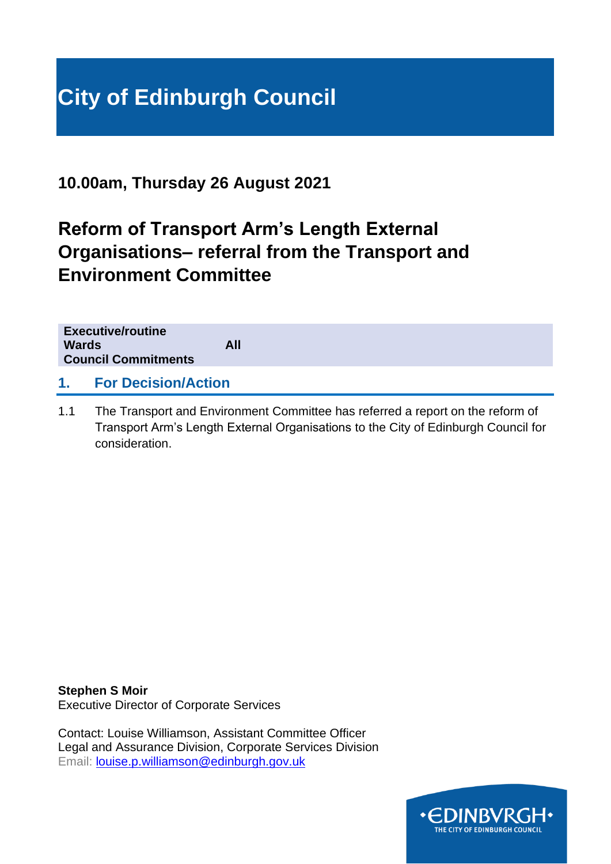# **City of Edinburgh Council**

**10.00am, Thursday 26 August 2021**

# **Reform of Transport Arm's Length External Organisations– referral from the Transport and Environment Committee**

| <b>Executive/routine</b><br><b>Wards</b><br><b>Council Commitments</b> | All |
|------------------------------------------------------------------------|-----|
| <b>For Decision/Action</b><br>$\mathbf 1$                              |     |

1.1 The Transport and Environment Committee has referred a report on the reform of Transport Arm's Length External Organisations to the City of Edinburgh Council for consideration.

**Stephen S Moir** Executive Director of Corporate Services

Contact: Louise Williamson, Assistant Committee Officer Legal and Assurance Division, Corporate Services Division Email: [louise.p.williamson@edinburgh.gov.uk](mailto:louise.p.williamson@edinburgh.gov.uk)

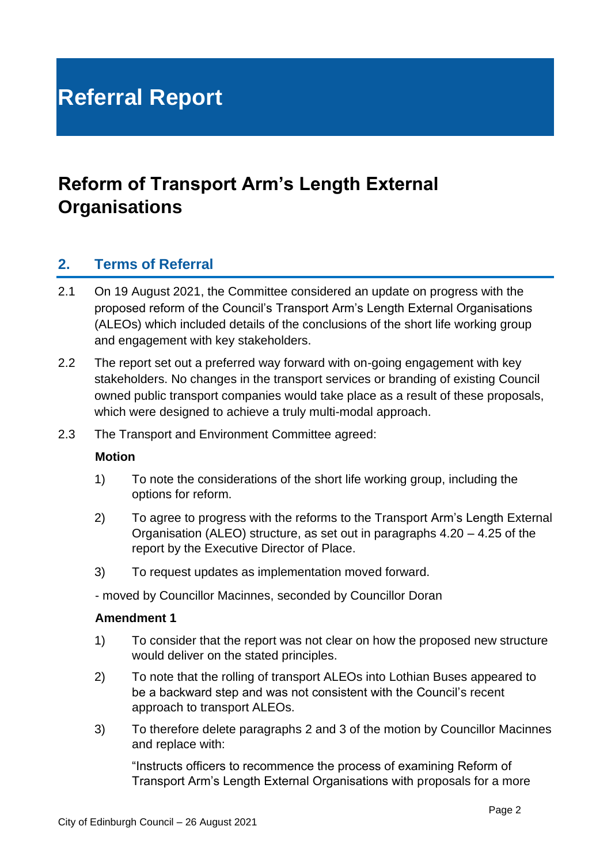# **Referral Report**

# **Reform of Transport Arm's Length External Organisations**

### **2. Terms of Referral**

- 2.1 On 19 August 2021, the Committee considered an update on progress with the proposed reform of the Council's Transport Arm's Length External Organisations (ALEOs) which included details of the conclusions of the short life working group and engagement with key stakeholders.
- 2.2 The report set out a preferred way forward with on-going engagement with key stakeholders. No changes in the transport services or branding of existing Council owned public transport companies would take place as a result of these proposals, which were designed to achieve a truly multi-modal approach.
- 2.3 The Transport and Environment Committee agreed:

#### **Motion**

- 1) To note the considerations of the short life working group, including the options for reform.
- 2) To agree to progress with the reforms to the Transport Arm's Length External Organisation (ALEO) structure, as set out in paragraphs 4.20 – 4.25 of the report by the Executive Director of Place.
- 3) To request updates as implementation moved forward.

- moved by Councillor Macinnes, seconded by Councillor Doran

#### **Amendment 1**

- 1) To consider that the report was not clear on how the proposed new structure would deliver on the stated principles.
- 2) To note that the rolling of transport ALEOs into Lothian Buses appeared to be a backward step and was not consistent with the Council's recent approach to transport ALEOs.
- 3) To therefore delete paragraphs 2 and 3 of the motion by Councillor Macinnes and replace with:

"Instructs officers to recommence the process of examining Reform of Transport Arm's Length External Organisations with proposals for a more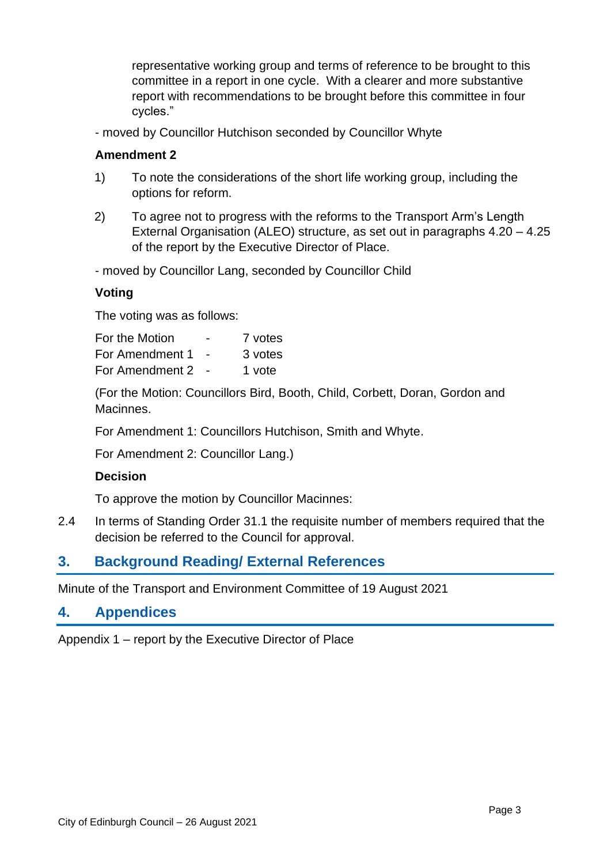representative working group and terms of reference to be brought to this committee in a report in one cycle. With a clearer and more substantive report with recommendations to be brought before this committee in four cycles."

- moved by Councillor Hutchison seconded by Councillor Whyte

### **Amendment 2**

- 1) To note the considerations of the short life working group, including the options for reform.
- 2) To agree not to progress with the reforms to the Transport Arm's Length External Organisation (ALEO) structure, as set out in paragraphs 4.20 – 4.25 of the report by the Executive Director of Place.

- moved by Councillor Lang, seconded by Councillor Child

### **Voting**

The voting was as follows:

For the Motion **-** 7 votes For Amendment 1 - 3 votes For Amendment 2 - 1 vote

(For the Motion: Councillors Bird, Booth, Child, Corbett, Doran, Gordon and Macinnes.

For Amendment 1: Councillors Hutchison, Smith and Whyte.

For Amendment 2: Councillor Lang.)

### **Decision**

To approve the motion by Councillor Macinnes:

2.4 In terms of Standing Order 31.1 the requisite number of members required that the decision be referred to the Council for approval.

### **3. Background Reading/ External References**

Minute of the Transport and Environment Committee of 19 August 2021

### **4. Appendices**

Appendix 1 – report by the Executive Director of Place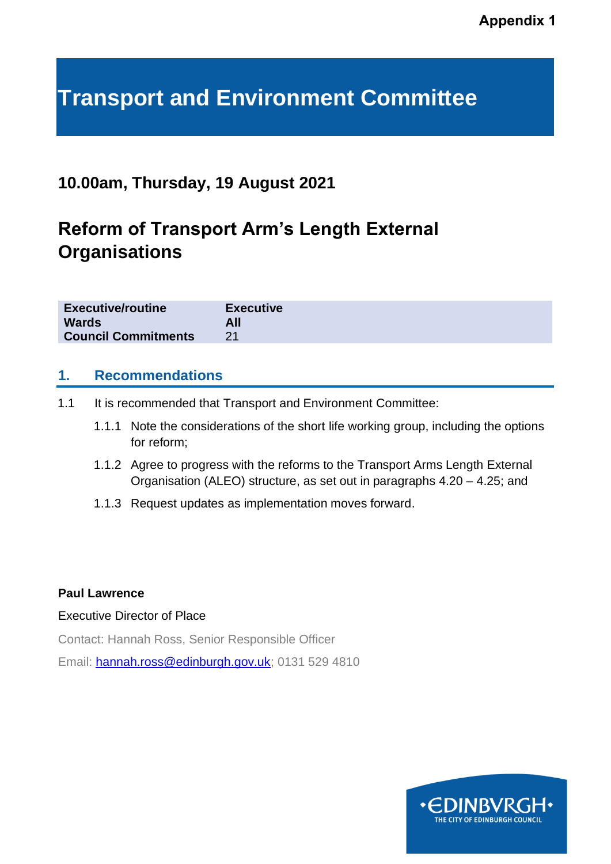# **Transport and Environment Committee**

## **10.00am, Thursday, 19 August 2021**

# **Reform of Transport Arm's Length External Organisations**

| <b>Executive/routine</b>   | <b>Executive</b> |
|----------------------------|------------------|
| <b>Wards</b>               |                  |
| <b>Council Commitments</b> |                  |

### **1. Recommendations**

- 1.1 It is recommended that Transport and Environment Committee:
	- 1.1.1 Note the considerations of the short life working group, including the options for reform;
	- 1.1.2 Agree to progress with the reforms to the Transport Arms Length External Organisation (ALEO) structure, as set out in paragraphs 4.20 – 4.25; and
	- 1.1.3 Request updates as implementation moves forward.

#### **Paul Lawrence**

#### Executive Director of Place

Contact: Hannah Ross, Senior Responsible Officer

Email: [hannah.ross@edinburgh.gov.uk;](mailto:hannah.ross@edinburgh.gov.uk) 0131 529 4810

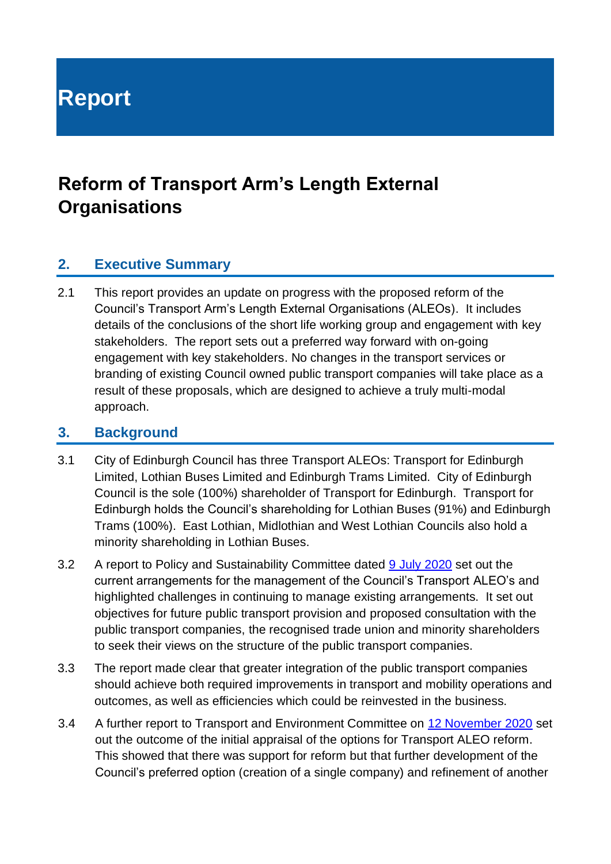# **Report**

# **Reform of Transport Arm's Length External Organisations**

## **2. Executive Summary**

2.1 This report provides an update on progress with the proposed reform of the Council's Transport Arm's Length External Organisations (ALEOs). It includes details of the conclusions of the short life working group and engagement with key stakeholders. The report sets out a preferred way forward with on-going engagement with key stakeholders. No changes in the transport services or branding of existing Council owned public transport companies will take place as a result of these proposals, which are designed to achieve a truly multi-modal approach.

### **3. Background**

- 3.1 City of Edinburgh Council has three Transport ALEOs: Transport for Edinburgh Limited, Lothian Buses Limited and Edinburgh Trams Limited. City of Edinburgh Council is the sole (100%) shareholder of Transport for Edinburgh. Transport for Edinburgh holds the Council's shareholding for Lothian Buses (91%) and Edinburgh Trams (100%). East Lothian, Midlothian and West Lothian Councils also hold a minority shareholding in Lothian Buses.
- 3.2 A report to Policy and Sustainability Committee dated [9 July 2020](https://democracy.edinburgh.gov.uk/documents/s24694/Item%206.10%20-%20Reform%20of%20Transport%20ALEOs.pdf) set out the current arrangements for the management of the Council's Transport ALEO's and highlighted challenges in continuing to manage existing arrangements. It set out objectives for future public transport provision and proposed consultation with the public transport companies, the recognised trade union and minority shareholders to seek their views on the structure of the public transport companies.
- 3.3 The report made clear that greater integration of the public transport companies should achieve both required improvements in transport and mobility operations and outcomes, as well as efficiencies which could be reinvested in the business.
- 3.4 A further report to Transport and Environment Committee on [12 November 2020](https://democracy.edinburgh.gov.uk/documents/s28761/7.4%20-%20Transport%20ALEO%20Reform.pdf) set out the outcome of the initial appraisal of the options for Transport ALEO reform. This showed that there was support for reform but that further development of the Council's preferred option (creation of a single company) and refinement of another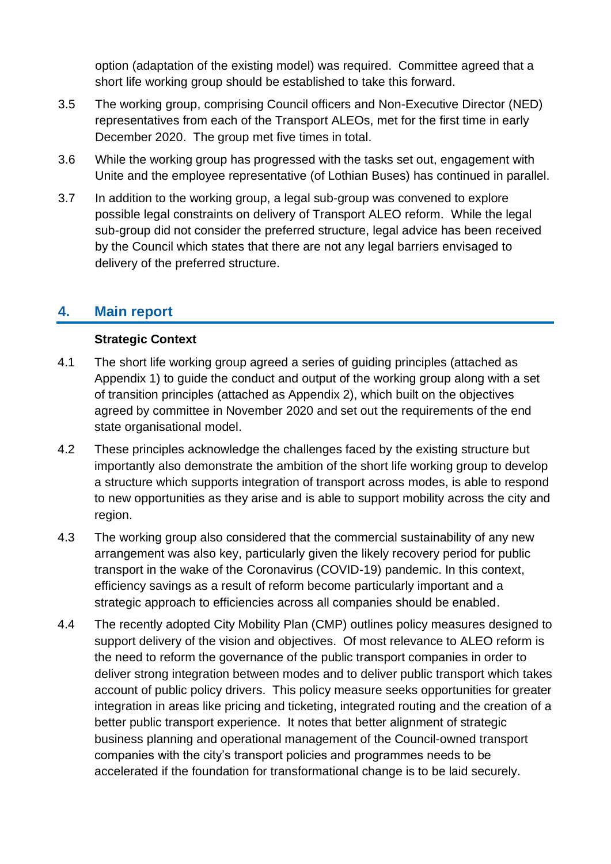option (adaptation of the existing model) was required. Committee agreed that a short life working group should be established to take this forward.

- 3.5 The working group, comprising Council officers and Non-Executive Director (NED) representatives from each of the Transport ALEOs, met for the first time in early December 2020. The group met five times in total.
- 3.6 While the working group has progressed with the tasks set out, engagement with Unite and the employee representative (of Lothian Buses) has continued in parallel.
- 3.7 In addition to the working group, a legal sub-group was convened to explore possible legal constraints on delivery of Transport ALEO reform. While the legal sub-group did not consider the preferred structure, legal advice has been received by the Council which states that there are not any legal barriers envisaged to delivery of the preferred structure.

### **4. Main report**

### **Strategic Context**

- 4.1 The short life working group agreed a series of guiding principles (attached as Appendix 1) to guide the conduct and output of the working group along with a set of transition principles (attached as Appendix 2), which built on the objectives agreed by committee in November 2020 and set out the requirements of the end state organisational model.
- 4.2 These principles acknowledge the challenges faced by the existing structure but importantly also demonstrate the ambition of the short life working group to develop a structure which supports integration of transport across modes, is able to respond to new opportunities as they arise and is able to support mobility across the city and region.
- 4.3 The working group also considered that the commercial sustainability of any new arrangement was also key, particularly given the likely recovery period for public transport in the wake of the Coronavirus (COVID-19) pandemic. In this context, efficiency savings as a result of reform become particularly important and a strategic approach to efficiencies across all companies should be enabled.
- 4.4 The recently adopted City Mobility Plan (CMP) outlines policy measures designed to support delivery of the vision and objectives. Of most relevance to ALEO reform is the need to reform the governance of the public transport companies in order to deliver strong integration between modes and to deliver public transport which takes account of public policy drivers. This policy measure seeks opportunities for greater integration in areas like pricing and ticketing, integrated routing and the creation of a better public transport experience. It notes that better alignment of strategic business planning and operational management of the Council-owned transport companies with the city's transport policies and programmes needs to be accelerated if the foundation for transformational change is to be laid securely.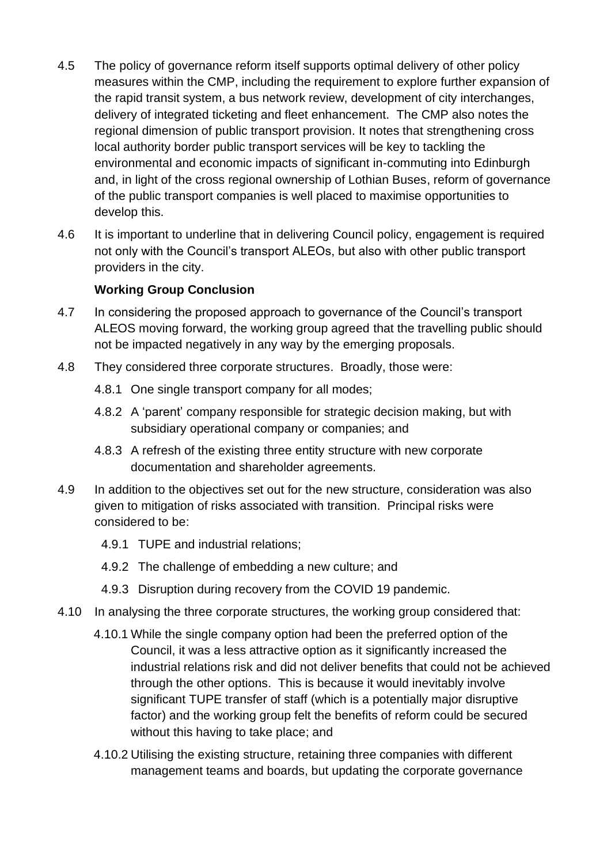- 4.5 The policy of governance reform itself supports optimal delivery of other policy measures within the CMP, including the requirement to explore further expansion of the rapid transit system, a bus network review, development of city interchanges, delivery of integrated ticketing and fleet enhancement. The CMP also notes the regional dimension of public transport provision. It notes that strengthening cross local authority border public transport services will be key to tackling the environmental and economic impacts of significant in-commuting into Edinburgh and, in light of the cross regional ownership of Lothian Buses, reform of governance of the public transport companies is well placed to maximise opportunities to develop this.
- 4.6 It is important to underline that in delivering Council policy, engagement is required not only with the Council's transport ALEOs, but also with other public transport providers in the city.

### **Working Group Conclusion**

- 4.7 In considering the proposed approach to governance of the Council's transport ALEOS moving forward, the working group agreed that the travelling public should not be impacted negatively in any way by the emerging proposals.
- 4.8 They considered three corporate structures. Broadly, those were:
	- 4.8.1 One single transport company for all modes;
	- 4.8.2 A 'parent' company responsible for strategic decision making, but with subsidiary operational company or companies; and
	- 4.8.3 A refresh of the existing three entity structure with new corporate documentation and shareholder agreements.
- 4.9 In addition to the objectives set out for the new structure, consideration was also given to mitigation of risks associated with transition. Principal risks were considered to be:
	- 4.9.1 TUPE and industrial relations;
	- 4.9.2 The challenge of embedding a new culture; and
	- 4.9.3 Disruption during recovery from the COVID 19 pandemic.
- 4.10 In analysing the three corporate structures, the working group considered that:
	- 4.10.1 While the single company option had been the preferred option of the Council, it was a less attractive option as it significantly increased the industrial relations risk and did not deliver benefits that could not be achieved through the other options. This is because it would inevitably involve significant TUPE transfer of staff (which is a potentially major disruptive factor) and the working group felt the benefits of reform could be secured without this having to take place; and
	- 4.10.2 Utilising the existing structure, retaining three companies with different management teams and boards, but updating the corporate governance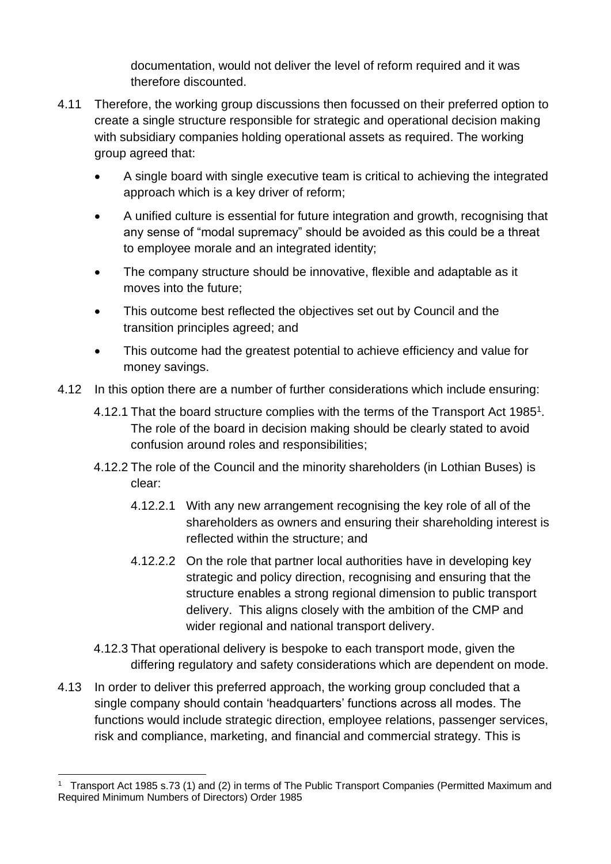documentation, would not deliver the level of reform required and it was therefore discounted.

- 4.11 Therefore, the working group discussions then focussed on their preferred option to create a single structure responsible for strategic and operational decision making with subsidiary companies holding operational assets as required. The working group agreed that:
	- A single board with single executive team is critical to achieving the integrated approach which is a key driver of reform;
	- A unified culture is essential for future integration and growth, recognising that any sense of "modal supremacy" should be avoided as this could be a threat to employee morale and an integrated identity;
	- The company structure should be innovative, flexible and adaptable as it moves into the future;
	- This outcome best reflected the objectives set out by Council and the transition principles agreed; and
	- This outcome had the greatest potential to achieve efficiency and value for money savings.
- 4.12 In this option there are a number of further considerations which include ensuring:
	- 4.12.1 That the board structure complies with the terms of the Transport Act 1985<sup>1</sup>. The role of the board in decision making should be clearly stated to avoid confusion around roles and responsibilities;
	- 4.12.2 The role of the Council and the minority shareholders (in Lothian Buses) is clear:
		- 4.12.2.1 With any new arrangement recognising the key role of all of the shareholders as owners and ensuring their shareholding interest is reflected within the structure; and
		- 4.12.2.2 On the role that partner local authorities have in developing key strategic and policy direction, recognising and ensuring that the structure enables a strong regional dimension to public transport delivery. This aligns closely with the ambition of the CMP and wider regional and national transport delivery.
	- 4.12.3 That operational delivery is bespoke to each transport mode, given the differing regulatory and safety considerations which are dependent on mode.
- 4.13 In order to deliver this preferred approach, the working group concluded that a single company should contain 'headquarters' functions across all modes. The functions would include strategic direction, employee relations, passenger services, risk and compliance, marketing, and financial and commercial strategy. This is

<sup>1</sup> Transport Act 1985 s.73 (1) and (2) in terms of The Public Transport Companies (Permitted Maximum and Required Minimum Numbers of Directors) Order 1985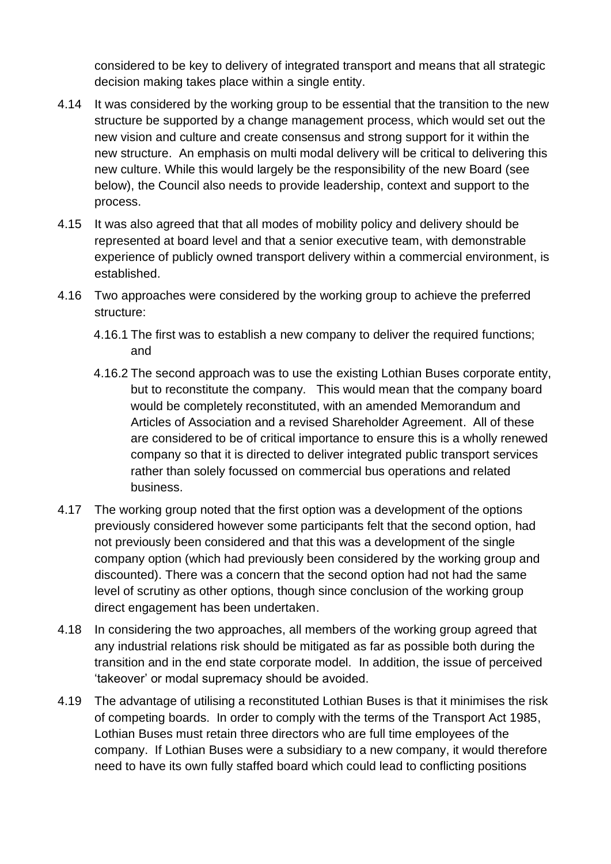considered to be key to delivery of integrated transport and means that all strategic decision making takes place within a single entity.

- 4.14 It was considered by the working group to be essential that the transition to the new structure be supported by a change management process, which would set out the new vision and culture and create consensus and strong support for it within the new structure. An emphasis on multi modal delivery will be critical to delivering this new culture. While this would largely be the responsibility of the new Board (see below), the Council also needs to provide leadership, context and support to the process.
- 4.15 It was also agreed that that all modes of mobility policy and delivery should be represented at board level and that a senior executive team, with demonstrable experience of publicly owned transport delivery within a commercial environment, is established.
- 4.16 Two approaches were considered by the working group to achieve the preferred structure:
	- 4.16.1 The first was to establish a new company to deliver the required functions; and
	- 4.16.2 The second approach was to use the existing Lothian Buses corporate entity, but to reconstitute the company. This would mean that the company board would be completely reconstituted, with an amended Memorandum and Articles of Association and a revised Shareholder Agreement. All of these are considered to be of critical importance to ensure this is a wholly renewed company so that it is directed to deliver integrated public transport services rather than solely focussed on commercial bus operations and related business.
- 4.17 The working group noted that the first option was a development of the options previously considered however some participants felt that the second option, had not previously been considered and that this was a development of the single company option (which had previously been considered by the working group and discounted). There was a concern that the second option had not had the same level of scrutiny as other options, though since conclusion of the working group direct engagement has been undertaken.
- 4.18 In considering the two approaches, all members of the working group agreed that any industrial relations risk should be mitigated as far as possible both during the transition and in the end state corporate model. In addition, the issue of perceived 'takeover' or modal supremacy should be avoided.
- 4.19 The advantage of utilising a reconstituted Lothian Buses is that it minimises the risk of competing boards. In order to comply with the terms of the Transport Act 1985, Lothian Buses must retain three directors who are full time employees of the company. If Lothian Buses were a subsidiary to a new company, it would therefore need to have its own fully staffed board which could lead to conflicting positions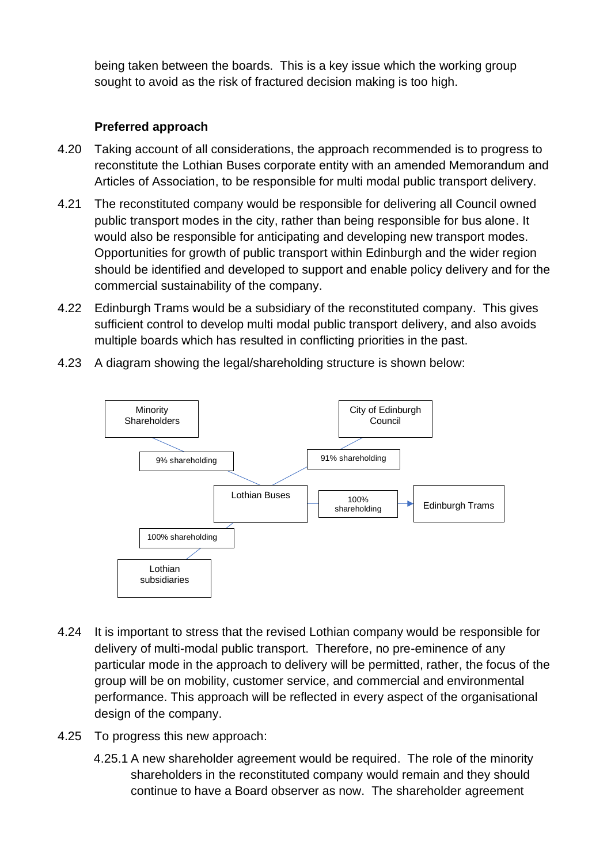being taken between the boards. This is a key issue which the working group sought to avoid as the risk of fractured decision making is too high.

### **Preferred approach**

- 4.20 Taking account of all considerations, the approach recommended is to progress to reconstitute the Lothian Buses corporate entity with an amended Memorandum and Articles of Association, to be responsible for multi modal public transport delivery.
- 4.21 The reconstituted company would be responsible for delivering all Council owned public transport modes in the city, rather than being responsible for bus alone. It would also be responsible for anticipating and developing new transport modes. Opportunities for growth of public transport within Edinburgh and the wider region should be identified and developed to support and enable policy delivery and for the commercial sustainability of the company.
- 4.22 Edinburgh Trams would be a subsidiary of the reconstituted company. This gives sufficient control to develop multi modal public transport delivery, and also avoids multiple boards which has resulted in conflicting priorities in the past.
- 4.23 A diagram showing the legal/shareholding structure is shown below:



- 4.24 It is important to stress that the revised Lothian company would be responsible for delivery of multi-modal public transport. Therefore, no pre-eminence of any particular mode in the approach to delivery will be permitted, rather, the focus of the group will be on mobility, customer service, and commercial and environmental performance. This approach will be reflected in every aspect of the organisational design of the company.
- 4.25 To progress this new approach:
	- 4.25.1 A new shareholder agreement would be required. The role of the minority shareholders in the reconstituted company would remain and they should continue to have a Board observer as now. The shareholder agreement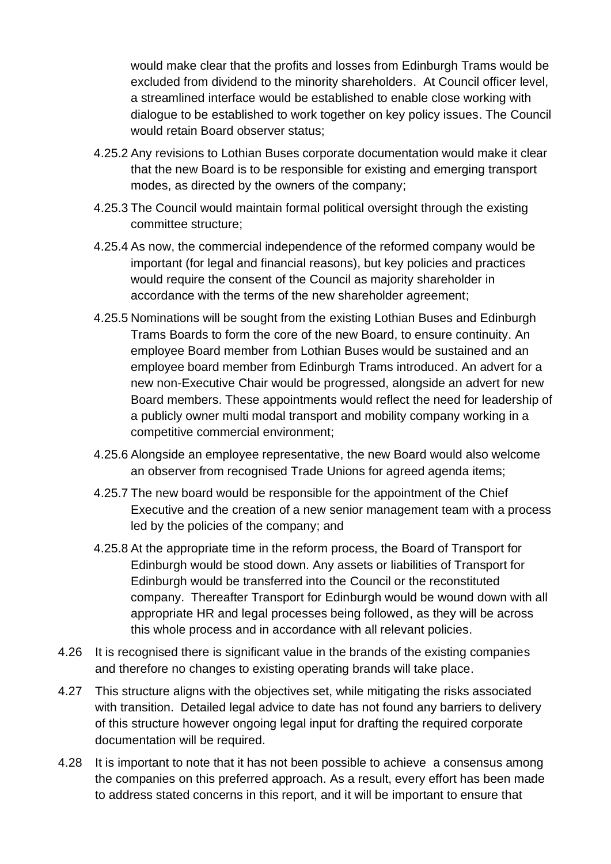would make clear that the profits and losses from Edinburgh Trams would be excluded from dividend to the minority shareholders. At Council officer level, a streamlined interface would be established to enable close working with dialogue to be established to work together on key policy issues. The Council would retain Board observer status;

- 4.25.2 Any revisions to Lothian Buses corporate documentation would make it clear that the new Board is to be responsible for existing and emerging transport modes, as directed by the owners of the company;
- 4.25.3 The Council would maintain formal political oversight through the existing committee structure;
- 4.25.4 As now, the commercial independence of the reformed company would be important (for legal and financial reasons), but key policies and practices would require the consent of the Council as majority shareholder in accordance with the terms of the new shareholder agreement;
- 4.25.5 Nominations will be sought from the existing Lothian Buses and Edinburgh Trams Boards to form the core of the new Board, to ensure continuity. An employee Board member from Lothian Buses would be sustained and an employee board member from Edinburgh Trams introduced. An advert for a new non-Executive Chair would be progressed, alongside an advert for new Board members. These appointments would reflect the need for leadership of a publicly owner multi modal transport and mobility company working in a competitive commercial environment;
- 4.25.6 Alongside an employee representative, the new Board would also welcome an observer from recognised Trade Unions for agreed agenda items;
- 4.25.7 The new board would be responsible for the appointment of the Chief Executive and the creation of a new senior management team with a process led by the policies of the company; and
- 4.25.8 At the appropriate time in the reform process, the Board of Transport for Edinburgh would be stood down. Any assets or liabilities of Transport for Edinburgh would be transferred into the Council or the reconstituted company. Thereafter Transport for Edinburgh would be wound down with all appropriate HR and legal processes being followed, as they will be across this whole process and in accordance with all relevant policies.
- 4.26 It is recognised there is significant value in the brands of the existing companies and therefore no changes to existing operating brands will take place.
- 4.27 This structure aligns with the objectives set, while mitigating the risks associated with transition. Detailed legal advice to date has not found any barriers to delivery of this structure however ongoing legal input for drafting the required corporate documentation will be required.
- 4.28 It is important to note that it has not been possible to achieve a consensus among the companies on this preferred approach. As a result, every effort has been made to address stated concerns in this report, and it will be important to ensure that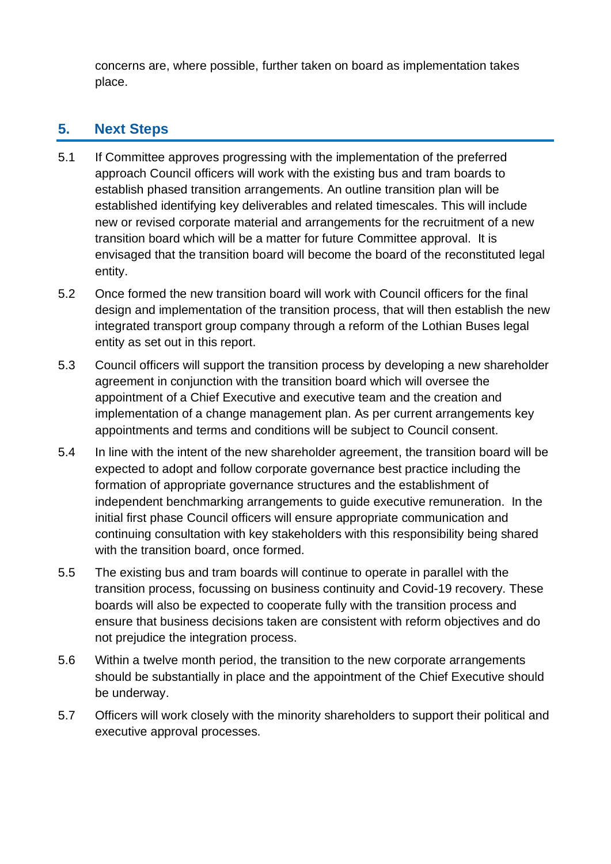concerns are, where possible, further taken on board as implementation takes place.

## **5. Next Steps**

- 5.1 If Committee approves progressing with the implementation of the preferred approach Council officers will work with the existing bus and tram boards to establish phased transition arrangements. An outline transition plan will be established identifying key deliverables and related timescales. This will include new or revised corporate material and arrangements for the recruitment of a new transition board which will be a matter for future Committee approval. It is envisaged that the transition board will become the board of the reconstituted legal entity.
- 5.2 Once formed the new transition board will work with Council officers for the final design and implementation of the transition process, that will then establish the new integrated transport group company through a reform of the Lothian Buses legal entity as set out in this report.
- 5.3 Council officers will support the transition process by developing a new shareholder agreement in conjunction with the transition board which will oversee the appointment of a Chief Executive and executive team and the creation and implementation of a change management plan. As per current arrangements key appointments and terms and conditions will be subject to Council consent.
- 5.4 In line with the intent of the new shareholder agreement, the transition board will be expected to adopt and follow corporate governance best practice including the formation of appropriate governance structures and the establishment of independent benchmarking arrangements to guide executive remuneration. In the initial first phase Council officers will ensure appropriate communication and continuing consultation with key stakeholders with this responsibility being shared with the transition board, once formed.
- 5.5 The existing bus and tram boards will continue to operate in parallel with the transition process, focussing on business continuity and Covid-19 recovery. These boards will also be expected to cooperate fully with the transition process and ensure that business decisions taken are consistent with reform objectives and do not prejudice the integration process.
- 5.6 Within a twelve month period, the transition to the new corporate arrangements should be substantially in place and the appointment of the Chief Executive should be underway.
- 5.7 Officers will work closely with the minority shareholders to support their political and executive approval processes.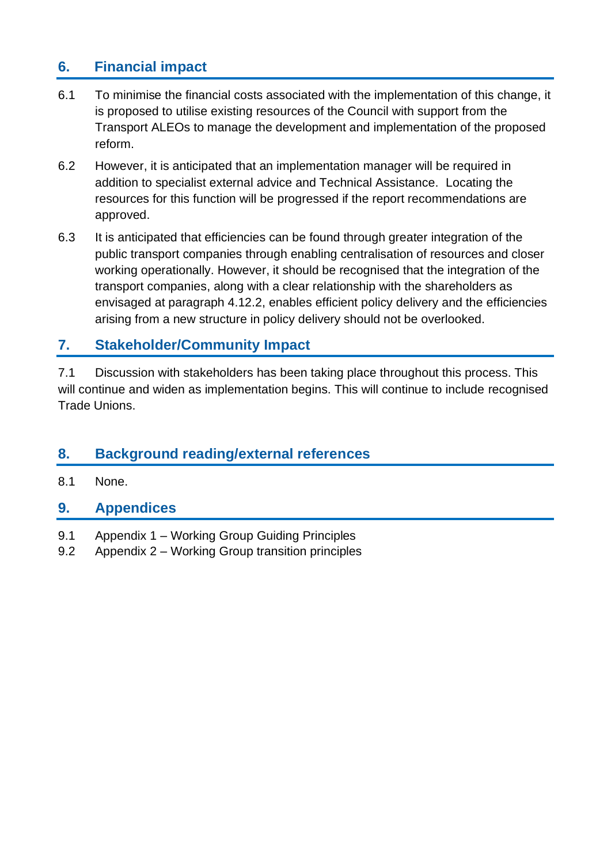## **6. Financial impact**

- 6.1 To minimise the financial costs associated with the implementation of this change, it is proposed to utilise existing resources of the Council with support from the Transport ALEOs to manage the development and implementation of the proposed reform.
- 6.2 However, it is anticipated that an implementation manager will be required in addition to specialist external advice and Technical Assistance. Locating the resources for this function will be progressed if the report recommendations are approved.
- 6.3 It is anticipated that efficiencies can be found through greater integration of the public transport companies through enabling centralisation of resources and closer working operationally. However, it should be recognised that the integration of the transport companies, along with a clear relationship with the shareholders as envisaged at paragraph 4.12.2, enables efficient policy delivery and the efficiencies arising from a new structure in policy delivery should not be overlooked.

## **7. Stakeholder/Community Impact**

7.1 Discussion with stakeholders has been taking place throughout this process. This will continue and widen as implementation begins. This will continue to include recognised Trade Unions.

## **8. Background reading/external references**

8.1 None.

### **9. Appendices**

- 9.1 Appendix 1 Working Group Guiding Principles
- 9.2 Appendix 2 Working Group transition principles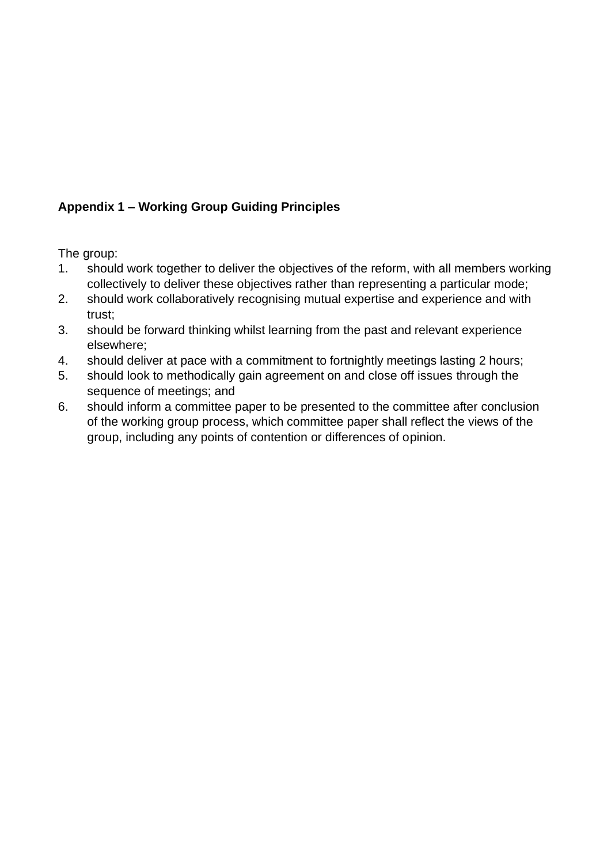### **Appendix 1 – Working Group Guiding Principles**

The group:

- 1. should work together to deliver the objectives of the reform, with all members working collectively to deliver these objectives rather than representing a particular mode;
- 2. should work collaboratively recognising mutual expertise and experience and with trust;
- 3. should be forward thinking whilst learning from the past and relevant experience elsewhere;
- 4. should deliver at pace with a commitment to fortnightly meetings lasting 2 hours;
- 5. should look to methodically gain agreement on and close off issues through the sequence of meetings; and
- 6. should inform a committee paper to be presented to the committee after conclusion of the working group process, which committee paper shall reflect the views of the group, including any points of contention or differences of opinion.